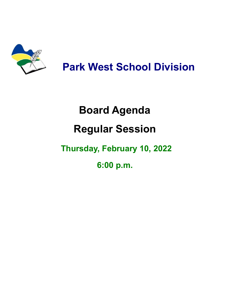

**Park West School Division**

# **Board Agenda**

## **Regular Session**

### **Thursday, February 10, 2022**

**6:00 p.m.**